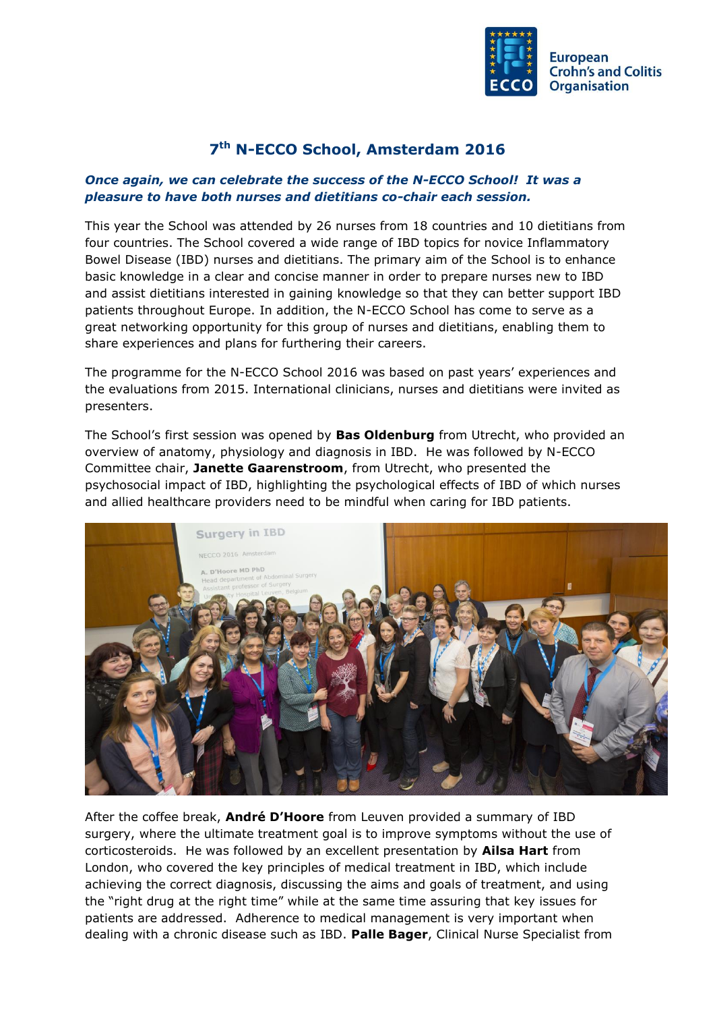

## **7 th N-ECCO School, Amsterdam 2016**

## *Once again, we can celebrate the success of the N-ECCO School! It was a pleasure to have both nurses and dietitians co-chair each session.*

This year the School was attended by 26 nurses from 18 countries and 10 dietitians from four countries. The School covered a wide range of IBD topics for novice Inflammatory Bowel Disease (IBD) nurses and dietitians. The primary aim of the School is to enhance basic knowledge in a clear and concise manner in order to prepare nurses new to IBD and assist dietitians interested in gaining knowledge so that they can better support IBD patients throughout Europe. In addition, the N-ECCO School has come to serve as a great networking opportunity for this group of nurses and dietitians, enabling them to share experiences and plans for furthering their careers.

The programme for the N-ECCO School 2016 was based on past years' experiences and the evaluations from 2015. International clinicians, nurses and dietitians were invited as presenters.

The School's first session was opened by **Bas Oldenburg** from Utrecht, who provided an overview of anatomy, physiology and diagnosis in IBD. He was followed by N-ECCO Committee chair, **Janette Gaarenstroom**, from Utrecht, who presented the psychosocial impact of IBD, highlighting the psychological effects of IBD of which nurses and allied healthcare providers need to be mindful when caring for IBD patients.



After the coffee break, **André D'Hoore** from Leuven provided a summary of IBD surgery, where the ultimate treatment goal is to improve symptoms without the use of corticosteroids. He was followed by an excellent presentation by **Ailsa Hart** from London, who covered the key principles of medical treatment in IBD, which include achieving the correct diagnosis, discussing the aims and goals of treatment, and using the "right drug at the right time" while at the same time assuring that key issues for patients are addressed. Adherence to medical management is very important when dealing with a chronic disease such as IBD. **Palle Bager**, Clinical Nurse Specialist from